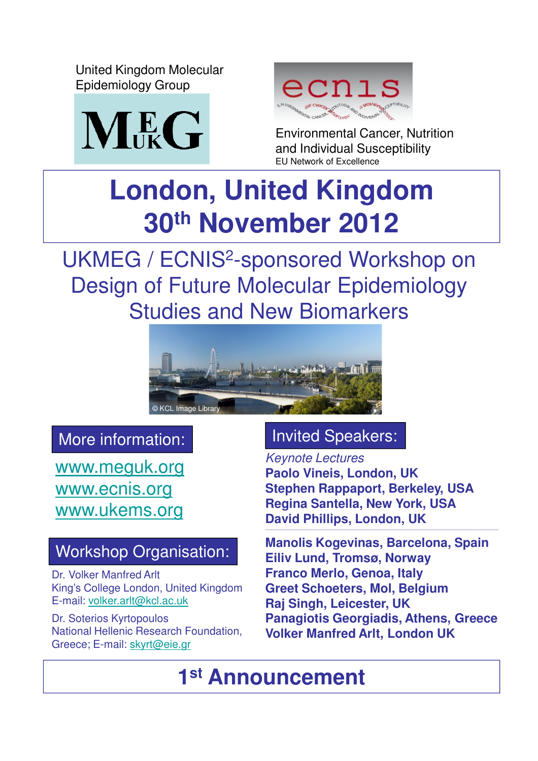United Kingdom Molecular Epidemiology Group





Environmental Cancer, Nutrition and Individual Susceptibility EU Network of Excellence

## **London, United Kingdom 30th November 2012**

UKMEG / ECNIS<sup>2</sup>-sponsored Workshop on Design of Future Molecular Epidemiology Studies and New Biomarkers



### More information:

www.meguk.org www.ecnis.org www.ukems.org

### Workshop Organisation:

Dr. Volker Manfred Arlt King's College London, United Kingdom E-mail: volker.arlt@kcl.ac.uk

Dr. Soterios Kyrtopoulos National Hellenic Research Foundation, Greece; E-mail: skyrt@eie.gr

### Invited Speakers:

Keynote Lectures **Paolo Vineis, London, UK Stephen Rappaport, Berkeley, USA Regina Santella, New York, USA David Phillips, London, UK \_\_\_\_\_\_\_\_\_\_\_\_\_\_\_\_\_\_\_\_\_\_\_\_\_\_\_\_\_\_\_\_\_\_\_\_\_\_\_\_\_\_\_\_\_\_\_\_\_\_\_\_\_\_\_\_\_\_\_\_\_\_\_\_\_\_\_\_\_\_\_\_\_\_\_\_\_\_\_\_\_\_\_\_\_\_\_\_\_\_\_\_\_\_\_\_\_\_\_\_\_\_\_\_\_\_\_\_\_\_\_\_\_\_\_**

**Manolis Kogevinas, Barcelona, Spain Eiliv Lund, Tromsø, Norway Franco Merlo, Genoa, Italy Greet Schoeters, Mol, Belgium Raj Singh, Leicester, UK Panagiotis Georgiadis, Athens, Greece Volker Manfred Arlt, London UK** 

**1 st Announcement**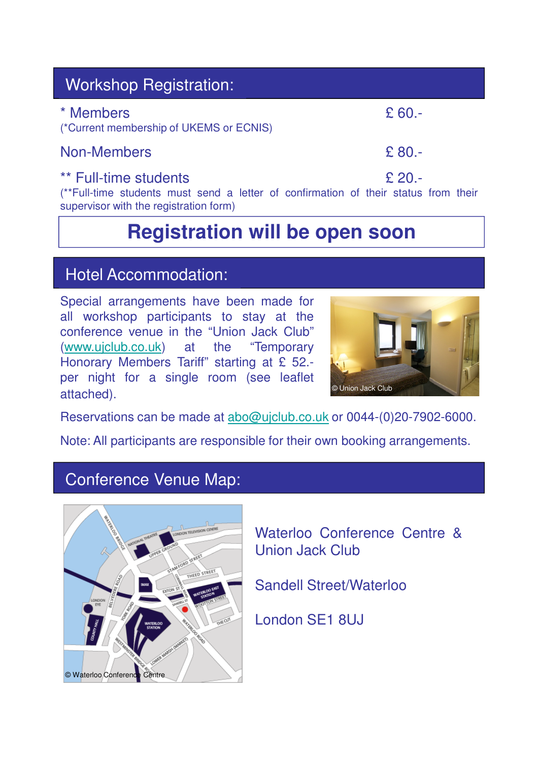| <b>Workshop Registration:</b> |
|-------------------------------|

 $*$  Members  $\epsilon$  60.-

#### (\*Current membership of UKEMS or ECNIS)

#### Non-Members **E** 80.-

#### \*\* Full-time students **E** 20.-

(\*\*Full-time students must send a letter of confirmation of their status from their supervisor with the registration form)

## **Registration will be open soon**

#### Hotel Accommodation:

Special arrangements have been made for all workshop participants to stay at the conference venue in the "Union Jack Club" (www.ujclub.co.uk) at the "Temporary Honorary Members Tariff" starting at £ 52. per night for a single room (see leaflet attached).



Reservations can be made at abo@ujclub.co.uk or 0044-(0)20-7902-6000.

Note: All participants are responsible for their own booking arrangements.

#### Conference Venue Map:



Waterloo Conference Centre & Union Jack Club

Sandell Street/Waterloo

London SE1 8UJ